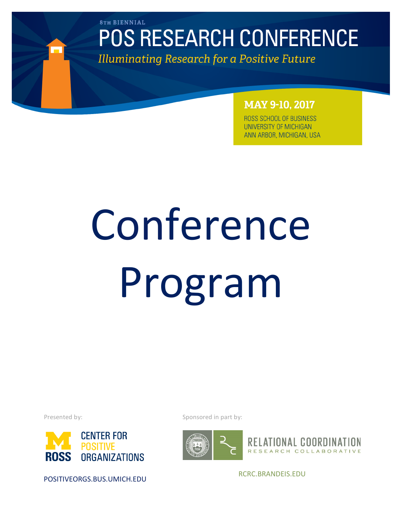**8TH BIENNIAL** 

# **POS RESEARCH CONFERENCE**

**Illuminating Research for a Positive Future** 

## **MAY 9-10, 2017**

ROSS SCHOOL OF BUSINESS UNIVERSITY OF MICHIGAN ANN ARBOR, MICHIGAN, USA

# Conference Program

Presented by:



POSITIVEORGS.BUS.UMICH.EDU

Sponsored in part by:





RCRC.BRANDEIS.EDU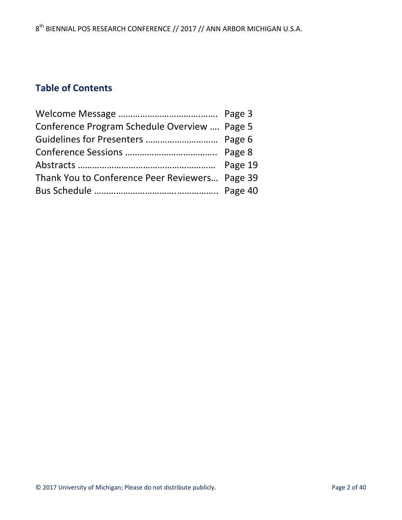# **Table of Contents**

| Conference Program Schedule Overview  Page 5   |  |
|------------------------------------------------|--|
|                                                |  |
|                                                |  |
|                                                |  |
| Thank You to Conference Peer Reviewers Page 39 |  |
|                                                |  |
|                                                |  |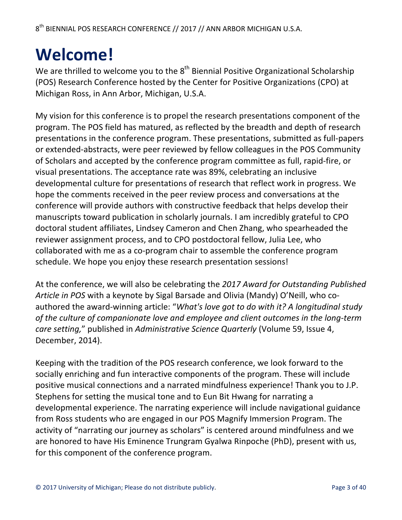# **Welcome!**

We are thrilled to welcome you to the  $8<sup>th</sup>$  Biennial Positive Organizational Scholarship (POS) Research Conference hosted by the Center for Positive Organizations (CPO) at Michigan Ross, in Ann Arbor, Michigan, U.S.A.

My vision for this conference is to propel the research presentations component of the program. The POS field has matured, as reflected by the breadth and depth of research presentations in the conference program. These presentations, submitted as full-papers or extended-abstracts, were peer reviewed by fellow colleagues in the POS Community of Scholars and accepted by the conference program committee as full, rapid-fire, or visual presentations. The acceptance rate was 89%, celebrating an inclusive developmental culture for presentations of research that reflect work in progress. We hope the comments received in the peer review process and conversations at the conference will provide authors with constructive feedback that helps develop their manuscripts toward publication in scholarly journals. I am incredibly grateful to CPO doctoral student affiliates, Lindsey Cameron and Chen Zhang, who spearheaded the reviewer assignment process, and to CPO postdoctoral fellow, Julia Lee, who collaborated with me as a co-program chair to assemble the conference program schedule. We hope you enjoy these research presentation sessions!

At the conference, we will also be celebrating the 2017 Award for Outstanding Published Article in POS with a keynote by Sigal Barsade and Olivia (Mandy) O'Neill, who coauthored the award-winning article: "*What's love got to do with it? A longitudinal study* of the culture of companionate love and employee and client outcomes in the long-term *care setting,"* published in *Administrative Science Quarterly* (Volume 59, Issue 4, December, 2014).

Keeping with the tradition of the POS research conference, we look forward to the socially enriching and fun interactive components of the program. These will include positive musical connections and a narrated mindfulness experience! Thank you to J.P. Stephens for setting the musical tone and to Eun Bit Hwang for narrating a developmental experience. The narrating experience will include navigational guidance from Ross students who are engaged in our POS Magnify Immersion Program. The activity of "narrating our journey as scholars" is centered around mindfulness and we are honored to have His Eminence Trungram Gyalwa Rinpoche (PhD), present with us, for this component of the conference program.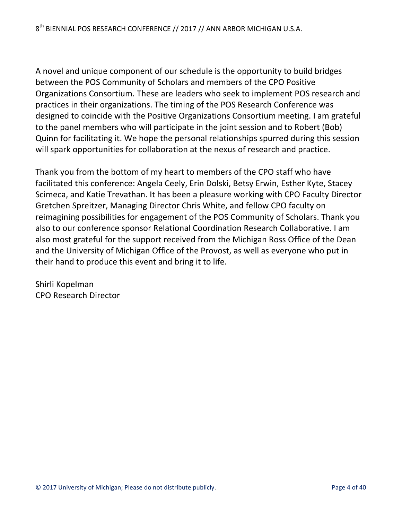A novel and unique component of our schedule is the opportunity to build bridges between the POS Community of Scholars and members of the CPO Positive Organizations Consortium. These are leaders who seek to implement POS research and practices in their organizations. The timing of the POS Research Conference was designed to coincide with the Positive Organizations Consortium meeting. I am grateful to the panel members who will participate in the joint session and to Robert (Bob) Quinn for facilitating it. We hope the personal relationships spurred during this session will spark opportunities for collaboration at the nexus of research and practice.

Thank you from the bottom of my heart to members of the CPO staff who have facilitated this conference: Angela Ceely, Erin Dolski, Betsy Erwin, Esther Kyte, Stacey Scimeca, and Katie Trevathan. It has been a pleasure working with CPO Faculty Director Gretchen Spreitzer, Managing Director Chris White, and fellow CPO faculty on reimagining possibilities for engagement of the POS Community of Scholars. Thank you also to our conference sponsor Relational Coordination Research Collaborative. I am also most grateful for the support received from the Michigan Ross Office of the Dean and the University of Michigan Office of the Provost, as well as everyone who put in their hand to produce this event and bring it to life.

Shirli Kopelman CPO Research Director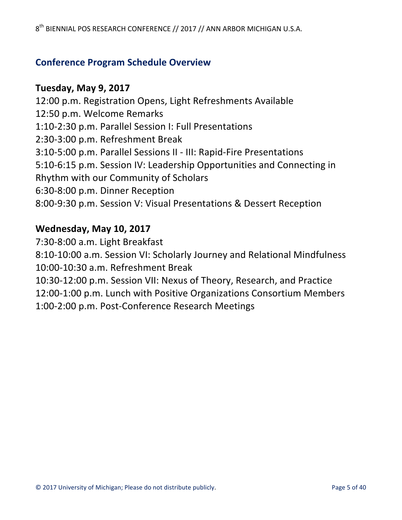## **Conference Program Schedule Overview**

### **Tuesday, May 9, 2017**

12:00 p.m. Registration Opens, Light Refreshments Available 12:50 p.m. Welcome Remarks 1:10-2:30 p.m. Parallel Session I: Full Presentations 2:30-3:00 p.m. Refreshment Break 3:10-5:00 p.m. Parallel Sessions II - III: Rapid-Fire Presentations 5:10-6:15 p.m. Session IV: Leadership Opportunities and Connecting in Rhythm with our Community of Scholars 6:30-8:00 p.m. Dinner Reception 8:00-9:30 p.m. Session V: Visual Presentations & Dessert Reception

### **Wednesday, May 10, 2017**

7:30-8:00 a.m. Light Breakfast 8:10-10:00 a.m. Session VI: Scholarly Journey and Relational Mindfulness 10:00-10:30 a.m. Refreshment Break 10:30-12:00 p.m. Session VII: Nexus of Theory, Research, and Practice 12:00-1:00 p.m. Lunch with Positive Organizations Consortium Members 1:00-2:00 p.m. Post-Conference Research Meetings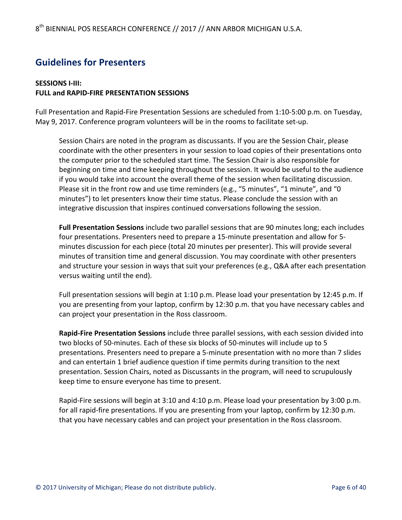## **Guidelines for Presenters**

#### **SESSIONS I-III: FULL and RAPID-FIRE PRESENTATION SESSIONS**

Full Presentation and Rapid-Fire Presentation Sessions are scheduled from 1:10-5:00 p.m. on Tuesday, May 9, 2017. Conference program volunteers will be in the rooms to facilitate set-up.

Session Chairs are noted in the program as discussants. If you are the Session Chair, please coordinate with the other presenters in your session to load copies of their presentations onto the computer prior to the scheduled start time. The Session Chair is also responsible for beginning on time and time keeping throughout the session. It would be useful to the audience if you would take into account the overall theme of the session when facilitating discussion. Please sit in the front row and use time reminders (e.g., "5 minutes", "1 minute", and "0 minutes") to let presenters know their time status. Please conclude the session with an integrative discussion that inspires continued conversations following the session.

Full Presentation Sessions include two parallel sessions that are 90 minutes long; each includes four presentations. Presenters need to prepare a 15-minute presentation and allow for 5minutes discussion for each piece (total 20 minutes per presenter). This will provide several minutes of transition time and general discussion. You may coordinate with other presenters and structure your session in ways that suit your preferences (e.g., Q&A after each presentation versus waiting until the end).

Full presentation sessions will begin at 1:10 p.m. Please load your presentation by 12:45 p.m. If you are presenting from your laptop, confirm by 12:30 p.m. that you have necessary cables and can project your presentation in the Ross classroom.

**Rapid-Fire Presentation Sessions** include three parallel sessions, with each session divided into two blocks of 50-minutes. Each of these six blocks of 50-minutes will include up to 5 presentations. Presenters need to prepare a 5-minute presentation with no more than 7 slides and can entertain 1 brief audience question if time permits during transition to the next presentation. Session Chairs, noted as Discussants in the program, will need to scrupulously keep time to ensure everyone has time to present.

Rapid-Fire sessions will begin at 3:10 and 4:10 p.m. Please load your presentation by 3:00 p.m. for all rapid-fire presentations. If you are presenting from your laptop, confirm by 12:30 p.m. that you have necessary cables and can project your presentation in the Ross classroom.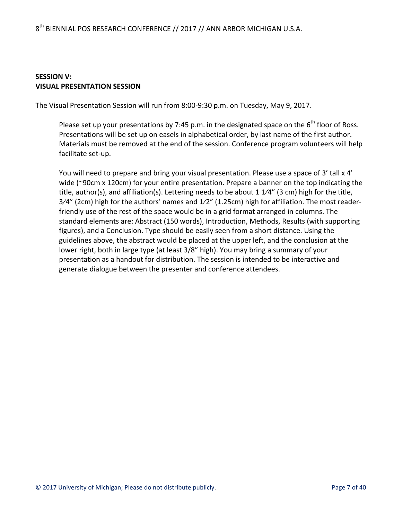#### **SESSION V: VISUAL PRESENTATION SESSION**

The Visual Presentation Session will run from 8:00-9:30 p.m. on Tuesday, May 9, 2017.

Please set up your presentations by 7:45 p.m. in the designated space on the  $6^{th}$  floor of Ross. Presentations will be set up on easels in alphabetical order, by last name of the first author. Materials must be removed at the end of the session. Conference program volunteers will help facilitate set-up.

You will need to prepare and bring your visual presentation. Please use a space of 3' tall  $x$  4' wide  $(\sim 90 \text{cm} \times 120 \text{cm})$  for your entire presentation. Prepare a banner on the top indicating the title, author(s), and affiliation(s). Lettering needs to be about 1  $1/4$ " (3 cm) high for the title,  $3/4''$  (2cm) high for the authors' names and  $1/2''$  (1.25cm) high for affiliation. The most readerfriendly use of the rest of the space would be in a grid format arranged in columns. The standard elements are: Abstract (150 words), Introduction, Methods, Results (with supporting figures), and a Conclusion. Type should be easily seen from a short distance. Using the guidelines above, the abstract would be placed at the upper left, and the conclusion at the lower right, both in large type (at least 3/8" high). You may bring a summary of your presentation as a handout for distribution. The session is intended to be interactive and generate dialogue between the presenter and conference attendees.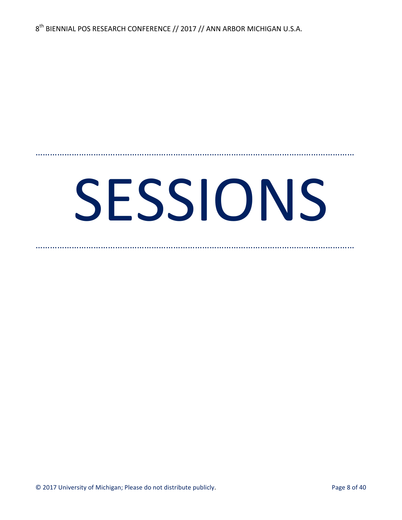# SESSIONS

……………………………………………………………………………………………………………………

……………………………………………………………………………………………………………………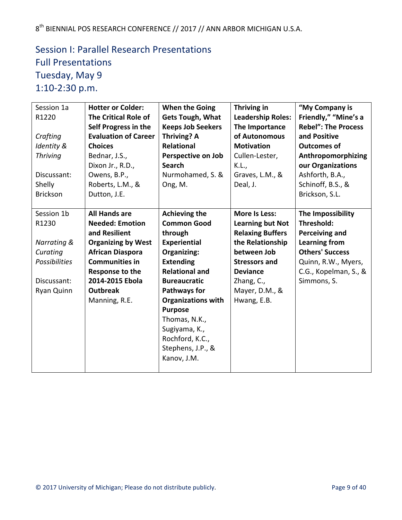# Session I: Parallel Research Presentations **Full Presentations** Tuesday, May 9 1:10-2:30 p.m.

| Session 1a<br>R1220<br>Crafting<br>Identity &<br><b>Thriving</b><br>Discussant:<br>Shelly<br><b>Brickson</b>   | <b>Hotter or Colder:</b><br><b>The Critical Role of</b><br>Self Progress in the<br><b>Evaluation of Career</b><br><b>Choices</b><br>Bednar, J.S.,<br>Dixon Jr., R.D.,<br>Owens, B.P.,<br>Roberts, L.M., &<br>Dutton, J.E.  | <b>When the Going</b><br><b>Gets Tough, What</b><br><b>Keeps Job Seekers</b><br>Thriving? A<br><b>Relational</b><br><b>Perspective on Job</b><br><b>Search</b><br>Nurmohamed, S. &<br>Ong, M.                                                                                                                                  | Thriving in<br><b>Leadership Roles:</b><br>The Importance<br>of Autonomous<br><b>Motivation</b><br>Cullen-Lester,<br>K.L.,<br>Graves, L.M., &<br>Deal, J.                                        | "My Company is<br>Friendly," "Mine's a<br><b>Rebel": The Process</b><br>and Positive<br><b>Outcomes of</b><br>Anthropomorphizing<br>our Organizations<br>Ashforth, B.A.,<br>Schinoff, B.S., &<br>Brickson, S.L. |
|----------------------------------------------------------------------------------------------------------------|----------------------------------------------------------------------------------------------------------------------------------------------------------------------------------------------------------------------------|--------------------------------------------------------------------------------------------------------------------------------------------------------------------------------------------------------------------------------------------------------------------------------------------------------------------------------|--------------------------------------------------------------------------------------------------------------------------------------------------------------------------------------------------|-----------------------------------------------------------------------------------------------------------------------------------------------------------------------------------------------------------------|
| Session 1b<br>R1230<br><b>Narrating &amp;</b><br>Curating<br>Possibilities<br>Discussant:<br><b>Ryan Quinn</b> | <b>All Hands are</b><br><b>Needed: Emotion</b><br>and Resilient<br><b>Organizing by West</b><br><b>African Diaspora</b><br><b>Communities in</b><br>Response to the<br>2014-2015 Ebola<br><b>Outbreak</b><br>Manning, R.E. | <b>Achieving the</b><br><b>Common Good</b><br>through<br><b>Experiential</b><br><b>Organizing:</b><br><b>Extending</b><br><b>Relational and</b><br><b>Bureaucratic</b><br>Pathways for<br><b>Organizations with</b><br><b>Purpose</b><br>Thomas, N.K.,<br>Sugiyama, K.,<br>Rochford, K.C.,<br>Stephens, J.P., &<br>Kanov, J.M. | More Is Less:<br><b>Learning but Not</b><br><b>Relaxing Buffers</b><br>the Relationship<br>between Job<br><b>Stressors and</b><br><b>Deviance</b><br>Zhang, C.,<br>Mayer, D.M., &<br>Hwang, E.B. | The Impossibility<br>Threshold:<br><b>Perceiving and</b><br><b>Learning from</b><br><b>Others' Success</b><br>Quinn, R.W., Myers,<br>C.G., Kopelman, S., &<br>Simmons, S.                                       |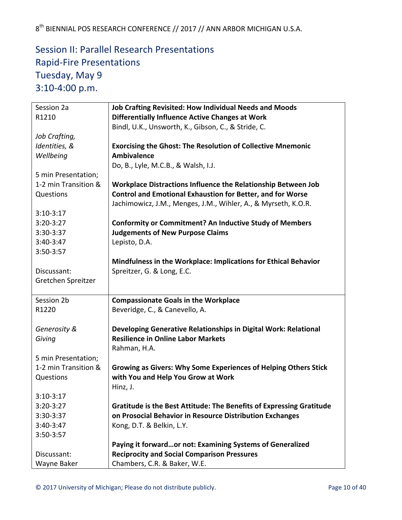# Session II: Parallel Research Presentations Rapid-Fire Presentations Tuesday, May 9 3:10-4:00 p.m.

| Session 2a           | <b>Job Crafting Revisited: How Individual Needs and Moods</b>                      |
|----------------------|------------------------------------------------------------------------------------|
| R1210                | Differentially Influence Active Changes at Work                                    |
|                      | Bindl, U.K., Unsworth, K., Gibson, C., & Stride, C.                                |
| Job Crafting,        |                                                                                    |
| Identities, &        | <b>Exorcising the Ghost: The Resolution of Collective Mnemonic</b>                 |
| Wellbeing            | <b>Ambivalence</b>                                                                 |
|                      | Do, B., Lyle, M.C.B., & Walsh, I.J.                                                |
| 5 min Presentation;  |                                                                                    |
| 1-2 min Transition & | Workplace Distractions Influence the Relationship Between Job                      |
| Questions            | <b>Control and Emotional Exhaustion for Better, and for Worse</b>                  |
|                      | Jachimowicz, J.M., Menges, J.M., Wihler, A., & Myrseth, K.O.R.                     |
| $3:10-3:17$          |                                                                                    |
| $3:20-3:27$          | <b>Conformity or Commitment? An Inductive Study of Members</b>                     |
| 3:30-3:37            | <b>Judgements of New Purpose Claims</b>                                            |
| 3:40-3:47            | Lepisto, D.A.                                                                      |
| 3:50-3:57            |                                                                                    |
|                      | Mindfulness in the Workplace: Implications for Ethical Behavior                    |
| Discussant:          | Spreitzer, G. & Long, E.C.                                                         |
| Gretchen Spreitzer   |                                                                                    |
|                      |                                                                                    |
|                      |                                                                                    |
| Session 2b           | <b>Compassionate Goals in the Workplace</b>                                        |
| R1220                | Beveridge, C., & Canevello, A.                                                     |
|                      |                                                                                    |
| Generosity &         | Developing Generative Relationships in Digital Work: Relational                    |
| Giving               | <b>Resilience in Online Labor Markets</b>                                          |
|                      | Rahman, H.A.                                                                       |
| 5 min Presentation;  |                                                                                    |
| 1-2 min Transition & | <b>Growing as Givers: Why Some Experiences of Helping Others Stick</b>             |
| Questions            | with You and Help You Grow at Work                                                 |
|                      | Hinz, J.                                                                           |
| $3:10-3:17$          |                                                                                    |
| $3:20-3:27$          | Gratitude is the Best Attitude: The Benefits of Expressing Gratitude               |
| 3:30-3:37            | on Prosocial Behavior in Resource Distribution Exchanges                           |
| 3:40-3:47            | Kong, D.T. & Belkin, L.Y.                                                          |
| 3:50-3:57            |                                                                                    |
|                      | Paying it forwardor not: Examining Systems of Generalized                          |
| Discussant:          | <b>Reciprocity and Social Comparison Pressures</b><br>Chambers, C.R. & Baker, W.E. |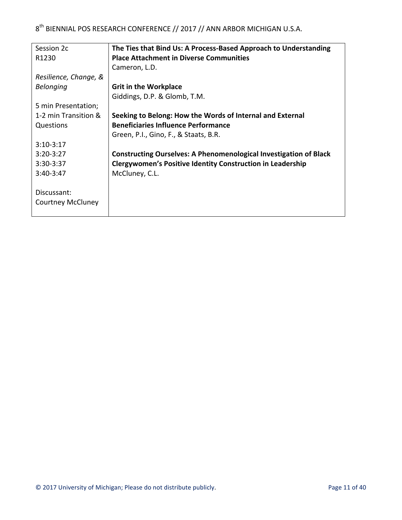| Session 2c               | The Ties that Bind Us: A Process-Based Approach to Understanding         |
|--------------------------|--------------------------------------------------------------------------|
| R <sub>1230</sub>        | <b>Place Attachment in Diverse Communities</b>                           |
|                          | Cameron, L.D.                                                            |
| Resilience, Change, &    |                                                                          |
| <b>Belonging</b>         | <b>Grit in the Workplace</b>                                             |
|                          | Giddings, D.P. & Glomb, T.M.                                             |
| 5 min Presentation;      |                                                                          |
| 1-2 min Transition &     | Seeking to Belong: How the Words of Internal and External                |
| Questions                | <b>Beneficiaries Influence Performance</b>                               |
|                          | Green, P.I., Gino, F., & Staats, B.R.                                    |
| $3:10-3:17$              |                                                                          |
| $3:20-3:27$              | <b>Constructing Ourselves: A Phenomenological Investigation of Black</b> |
| $3:30-3:37$              | <b>Clergywomen's Positive Identity Construction in Leadership</b>        |
| 3:40-3:47                | McCluney, C.L.                                                           |
|                          |                                                                          |
| Discussant:              |                                                                          |
| <b>Courtney McCluney</b> |                                                                          |
|                          |                                                                          |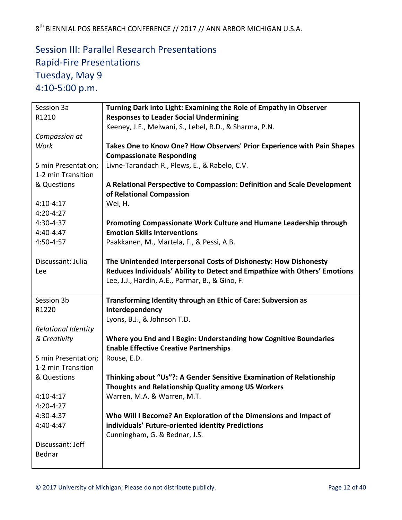# Session III: Parallel Research Presentations Rapid-Fire Presentations Tuesday, May 9 4:10-5:00 p.m.

| Session 3a                 | Turning Dark into Light: Examining the Role of Empathy in Observer         |
|----------------------------|----------------------------------------------------------------------------|
| R1210                      | <b>Responses to Leader Social Undermining</b>                              |
|                            | Keeney, J.E., Melwani, S., Lebel, R.D., & Sharma, P.N.                     |
| Compassion at              |                                                                            |
| Work                       | Takes One to Know One? How Observers' Prior Experience with Pain Shapes    |
|                            | <b>Compassionate Responding</b>                                            |
| 5 min Presentation;        | Livne-Tarandach R., Plews, E., & Rabelo, C.V.                              |
| 1-2 min Transition         |                                                                            |
| & Questions                | A Relational Perspective to Compassion: Definition and Scale Development   |
|                            | of Relational Compassion                                                   |
| $4:10-4:17$                | Wei, H.                                                                    |
| 4:20-4:27                  |                                                                            |
| 4:30-4:37                  | Promoting Compassionate Work Culture and Humane Leadership through         |
| 4:40-4:47                  | <b>Emotion Skills Interventions</b>                                        |
| 4:50-4:57                  | Paakkanen, M., Martela, F., & Pessi, A.B.                                  |
|                            |                                                                            |
| Discussant: Julia          | The Unintended Interpersonal Costs of Dishonesty: How Dishonesty           |
| Lee                        | Reduces Individuals' Ability to Detect and Empathize with Others' Emotions |
|                            | Lee, J.J., Hardin, A.E., Parmar, B., & Gino, F.                            |
|                            |                                                                            |
| Session 3b                 | Transforming Identity through an Ethic of Care: Subversion as              |
| R1220                      | Interdependency                                                            |
|                            | Lyons, B.J., & Johnson T.D.                                                |
|                            |                                                                            |
| <b>Relational Identity</b> |                                                                            |
| & Creativity               | Where you End and I Begin: Understanding how Cognitive Boundaries          |
|                            | <b>Enable Effective Creative Partnerships</b>                              |
| 5 min Presentation;        | Rouse, E.D.                                                                |
| 1-2 min Transition         |                                                                            |
| & Questions                | Thinking about "Us"?: A Gender Sensitive Examination of Relationship       |
|                            | Thoughts and Relationship Quality among US Workers                         |
| $4:10-4:17$                | Warren, M.A. & Warren, M.T.                                                |
| $4:20 - 4:27$              |                                                                            |
| 4:30-4:37                  | Who Will I Become? An Exploration of the Dimensions and Impact of          |
| 4:40-4:47                  | individuals' Future-oriented identity Predictions                          |
|                            | Cunningham, G. & Bednar, J.S.                                              |
| Discussant: Jeff           |                                                                            |
| Bednar                     |                                                                            |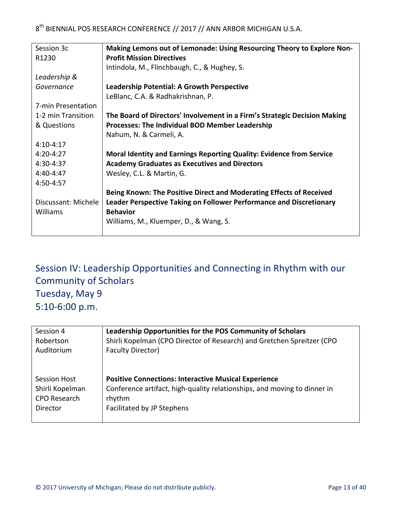| Session 3c          | Making Lemons out of Lemonade: Using Resourcing Theory to Explore Non-    |
|---------------------|---------------------------------------------------------------------------|
| R1230               | <b>Profit Mission Directives</b>                                          |
|                     | Intindola, M., Flinchbaugh, C., & Hughey, S.                              |
| Leadership &        |                                                                           |
| Governance          | <b>Leadership Potential: A Growth Perspective</b>                         |
|                     | LeBlanc, C.A. & Radhakrishnan, P.                                         |
| 7-min Presentation  |                                                                           |
| 1-2 min Transition  | The Board of Directors' Involvement in a Firm's Strategic Decision Making |
| & Questions         | <b>Processes: The Individual BOD Member Leadership</b>                    |
|                     | Nahum, N. & Carmeli, A.                                                   |
| $4:10-4:17$         |                                                                           |
| $4:20-4:27$         | Moral Identity and Earnings Reporting Quality: Evidence from Service      |
| 4:30-4:37           | <b>Academy Graduates as Executives and Directors</b>                      |
| $4:40-4:47$         | Wesley, C.L. & Martin, G.                                                 |
| 4:50-4:57           |                                                                           |
|                     | Being Known: The Positive Direct and Moderating Effects of Received       |
| Discussant: Michele | Leader Perspective Taking on Follower Performance and Discretionary       |
| Williams            | <b>Behavior</b>                                                           |
|                     | Williams, M., Kluemper, D., & Wang, S.                                    |
|                     |                                                                           |

Session IV: Leadership Opportunities and Connecting in Rhythm with our Community of Scholars Tuesday, May 9 5:10-6:00 p.m.

| Session 4           | Leadership Opportunities for the POS Community of Scholars               |
|---------------------|--------------------------------------------------------------------------|
| Robertson           | Shirli Kopelman (CPO Director of Research) and Gretchen Spreitzer (CPO   |
| Auditorium          | <b>Faculty Director)</b>                                                 |
| <b>Session Host</b> | <b>Positive Connections: Interactive Musical Experience</b>              |
| Shirli Kopelman     | Conference artifact, high-quality relationships, and moving to dinner in |
| <b>CPO Research</b> | rhythm                                                                   |
| Director            | Facilitated by JP Stephens                                               |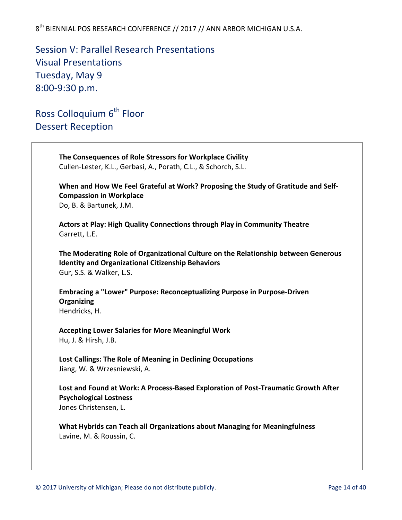Session V: Parallel Research Presentations Visual Presentations Tuesday, May 9 8:00-9:30 p.m.

Ross Colloquium 6<sup>th</sup> Floor Dessert Reception

**The Consequences of Role Stressors for Workplace Civility** Cullen-Lester, K.L., Gerbasi, A., Porath, C.L., & Schorch, S.L. When and How We Feel Grateful at Work? Proposing the Study of Gratitude and Self-**Compassion in Workplace** Do, B. & Bartunek, J.M. **Actors at Play: High Quality Connections through Play in Community Theatre** Garrett, L.E. The Moderating Role of Organizational Culture on the Relationship between Generous **Identity and Organizational Citizenship Behaviors** Gur, S.S. & Walker, L.S. **Embracing a "Lower" Purpose: Reconceptualizing Purpose in Purpose-Driven Organizing** Hendricks, H. **Accepting Lower Salaries for More Meaningful Work** Hu, J. & Hirsh, J.B. Lost Callings: The Role of Meaning in Declining Occupations Jiang, W. & Wrzesniewski, A. Lost and Found at Work: A Process-Based Exploration of Post-Traumatic Growth After **Psychological Lostness** Jones Christensen, L.

**What Hybrids can Teach all Organizations about Managing for Meaningfulness** Lavine, M. & Roussin, C.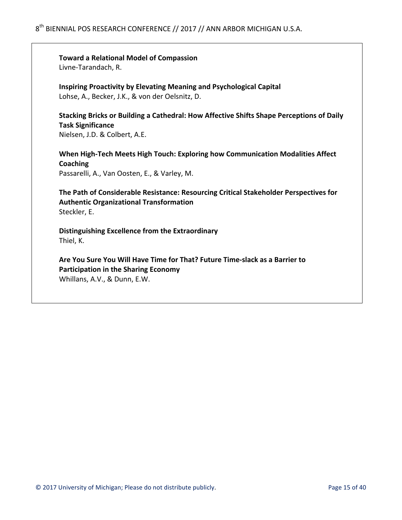**Toward a Relational Model of Compassion** Livne-Tarandach, R.

**Inspiring Proactivity by Elevating Meaning and Psychological Capital** Lohse, A., Becker, J.K., & von der Oelsnitz, D.

Stacking Bricks or Building a Cathedral: How Affective Shifts Shape Perceptions of Daily **Task Significance**

Nielsen, J.D. & Colbert, A.E.

When High-Tech Meets High Touch: Exploring how Communication Modalities Affect **Coaching** Passarelli, A., Van Oosten, E., & Varley, M.

The Path of Considerable Resistance: Resourcing Critical Stakeholder Perspectives for **Authentic Organizational Transformation** Steckler, E.

**Distinguishing Excellence from the Extraordinary** Thiel, K.

Are You Sure You Will Have Time for That? Future Time-slack as a Barrier to **Participation in the Sharing Economy** Whillans, A.V., & Dunn, E.W.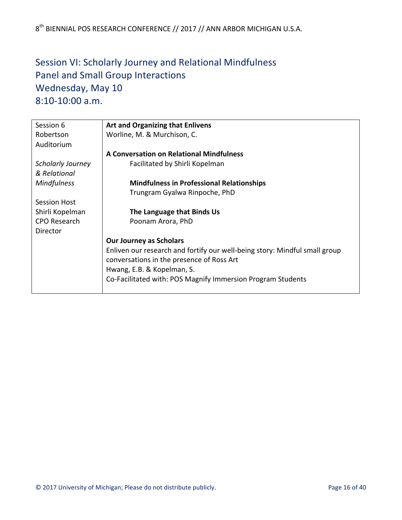# Session VI: Scholarly Journey and Relational Mindfulness Panel and Small Group Interactions Wednesday, May 10 8:10-10:00 a.m.

| Session 6                | <b>Art and Organizing that Enlivens</b>                                    |
|--------------------------|----------------------------------------------------------------------------|
| Robertson                | Worline, M. & Murchison, C.                                                |
| Auditorium               |                                                                            |
|                          | <b>A Conversation on Relational Mindfulness</b>                            |
| <b>Scholarly Journey</b> | Facilitated by Shirli Kopelman                                             |
| & Relational             |                                                                            |
| <b>Mindfulness</b>       | <b>Mindfulness in Professional Relationships</b>                           |
|                          | Trungram Gyalwa Rinpoche, PhD                                              |
| <b>Session Host</b>      |                                                                            |
| Shirli Kopelman          | The Language that Binds Us                                                 |
| <b>CPO Research</b>      | Poonam Arora, PhD                                                          |
| Director                 |                                                                            |
|                          | <b>Our Journey as Scholars</b>                                             |
|                          | Enliven our research and fortify our well-being story: Mindful small group |
|                          | conversations in the presence of Ross Art                                  |
|                          | Hwang, E.B. & Kopelman, S.                                                 |
|                          | Co-Facilitated with: POS Magnify Immersion Program Students                |
|                          |                                                                            |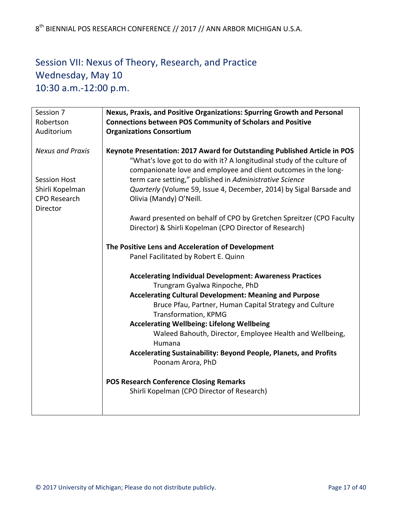# Session VII: Nexus of Theory, Research, and Practice Wednesday, May 10 10:30 a.m.-12:00 p.m.

| Session 7               | Nexus, Praxis, and Positive Organizations: Spurring Growth and Personal                                                                                                                                                |
|-------------------------|------------------------------------------------------------------------------------------------------------------------------------------------------------------------------------------------------------------------|
| Robertson               | <b>Connections between POS Community of Scholars and Positive</b>                                                                                                                                                      |
| Auditorium              | <b>Organizations Consortium</b>                                                                                                                                                                                        |
| <b>Nexus and Praxis</b> | Keynote Presentation: 2017 Award for Outstanding Published Article in POS<br>"What's love got to do with it? A longitudinal study of the culture of<br>companionate love and employee and client outcomes in the long- |
| <b>Session Host</b>     | term care setting," published in Administrative Science                                                                                                                                                                |
| Shirli Kopelman         | Quarterly (Volume 59, Issue 4, December, 2014) by Sigal Barsade and                                                                                                                                                    |
| <b>CPO Research</b>     | Olivia (Mandy) O'Neill.                                                                                                                                                                                                |
| <b>Director</b>         |                                                                                                                                                                                                                        |
|                         | Award presented on behalf of CPO by Gretchen Spreitzer (CPO Faculty                                                                                                                                                    |
|                         | Director) & Shirli Kopelman (CPO Director of Research)                                                                                                                                                                 |
|                         |                                                                                                                                                                                                                        |
|                         | The Positive Lens and Acceleration of Development                                                                                                                                                                      |
|                         | Panel Facilitated by Robert E. Quinn                                                                                                                                                                                   |
|                         |                                                                                                                                                                                                                        |
|                         | <b>Accelerating Individual Development: Awareness Practices</b>                                                                                                                                                        |
|                         | Trungram Gyalwa Rinpoche, PhD                                                                                                                                                                                          |
|                         | <b>Accelerating Cultural Development: Meaning and Purpose</b>                                                                                                                                                          |
|                         | Bruce Pfau, Partner, Human Capital Strategy and Culture                                                                                                                                                                |
|                         | <b>Transformation, KPMG</b>                                                                                                                                                                                            |
|                         | <b>Accelerating Wellbeing: Lifelong Wellbeing</b>                                                                                                                                                                      |
|                         | Waleed Bahouth, Director, Employee Health and Wellbeing,                                                                                                                                                               |
|                         | Humana                                                                                                                                                                                                                 |
|                         | Accelerating Sustainability: Beyond People, Planets, and Profits                                                                                                                                                       |
|                         | Poonam Arora, PhD                                                                                                                                                                                                      |
|                         |                                                                                                                                                                                                                        |
|                         | <b>POS Research Conference Closing Remarks</b>                                                                                                                                                                         |
|                         | Shirli Kopelman (CPO Director of Research)                                                                                                                                                                             |
|                         |                                                                                                                                                                                                                        |
|                         |                                                                                                                                                                                                                        |
|                         |                                                                                                                                                                                                                        |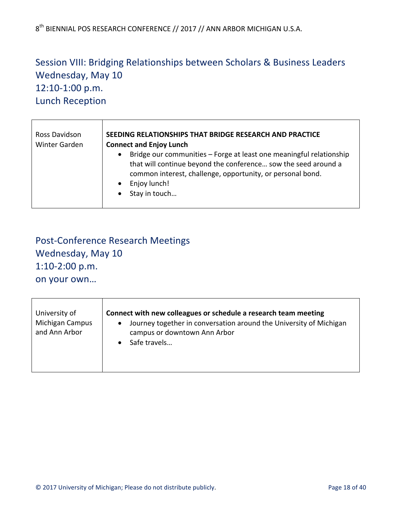# Session VIII: Bridging Relationships between Scholars & Business Leaders Wednesday, May 10 12:10-1:00 p.m. Lunch Reception

| Ross Davidson | SEEDING RELATIONSHIPS THAT BRIDGE RESEARCH AND PRACTICE                                                                                                                                                                                                        |
|---------------|----------------------------------------------------------------------------------------------------------------------------------------------------------------------------------------------------------------------------------------------------------------|
| Winter Garden | <b>Connect and Enjoy Lunch</b>                                                                                                                                                                                                                                 |
|               | Bridge our communities - Forge at least one meaningful relationship<br>$\bullet$<br>that will continue beyond the conference sow the seed around a<br>common interest, challenge, opportunity, or personal bond.<br>Enjoy lunch!<br>Stay in touch<br>$\bullet$ |

# Post-Conference Research Meetings Wednesday, May 10 1:10-2:00 p.m. on your own...

 $\mathsf{r}$ 

|  | University of<br>Michigan Campus<br>and Ann Arbor | Connect with new colleagues or schedule a research team meeting<br>Journey together in conversation around the University of Michigan<br>$\bullet$<br>campus or downtown Ann Arbor<br>Safe travels |
|--|---------------------------------------------------|----------------------------------------------------------------------------------------------------------------------------------------------------------------------------------------------------|
|--|---------------------------------------------------|----------------------------------------------------------------------------------------------------------------------------------------------------------------------------------------------------|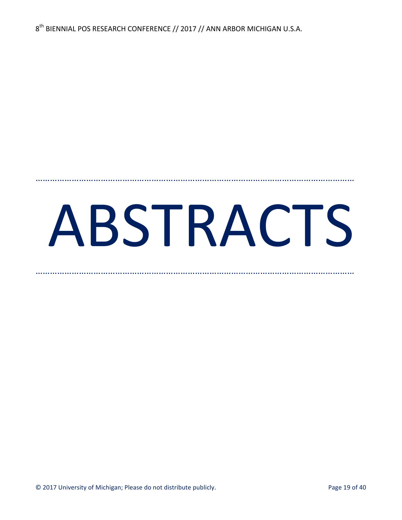# ABSTRACTS

……………………………………………………………………………………………………………………

……………………………………………………………………………………………………………………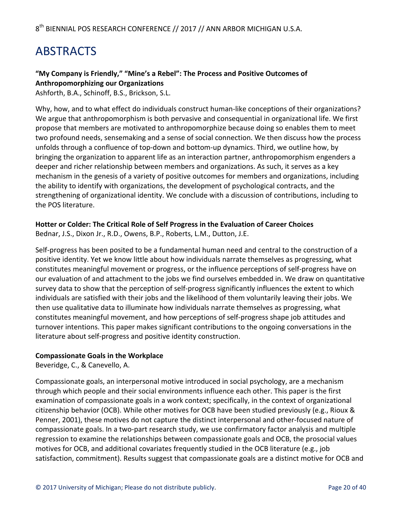# ABSTRACTS

#### "My Company is Friendly," "Mine's a Rebel": The Process and Positive Outcomes of **Anthropomorphizing our Organizations**

Ashforth, B.A., Schinoff, B.S., Brickson, S.L.

Why, how, and to what effect do individuals construct human-like conceptions of their organizations? We argue that anthropomorphism is both pervasive and consequential in organizational life. We first propose that members are motivated to anthropomorphize because doing so enables them to meet two profound needs, sensemaking and a sense of social connection. We then discuss how the process unfolds through a confluence of top-down and bottom-up dynamics. Third, we outline how, by bringing the organization to apparent life as an interaction partner, anthropomorphism engenders a deeper and richer relationship between members and organizations. As such, it serves as a key mechanism in the genesis of a variety of positive outcomes for members and organizations, including the ability to identify with organizations, the development of psychological contracts, and the strengthening of organizational identity. We conclude with a discussion of contributions, including to the POS literature.

#### Hotter or Colder: The Critical Role of Self Progress in the Evaluation of Career Choices

Bednar, J.S., Dixon Jr., R.D., Owens, B.P., Roberts, L.M., Dutton, J.E.

Self-progress has been posited to be a fundamental human need and central to the construction of a positive identity. Yet we know little about how individuals narrate themselves as progressing, what constitutes meaningful movement or progress, or the influence perceptions of self-progress have on our evaluation of and attachment to the jobs we find ourselves embedded in. We draw on quantitative survey data to show that the perception of self-progress significantly influences the extent to which individuals are satisfied with their jobs and the likelihood of them voluntarily leaving their jobs. We then use qualitative data to illuminate how individuals narrate themselves as progressing, what constitutes meaningful movement, and how perceptions of self-progress shape job attitudes and turnover intentions. This paper makes significant contributions to the ongoing conversations in the literature about self-progress and positive identity construction.

#### **Compassionate Goals in the Workplace**

Beveridge, C., & Canevello, A.

Compassionate goals, an interpersonal motive introduced in social psychology, are a mechanism through which people and their social environments influence each other. This paper is the first examination of compassionate goals in a work context; specifically, in the context of organizational citizenship behavior (OCB). While other motives for OCB have been studied previously (e.g., Rioux & Penner, 2001), these motives do not capture the distinct interpersonal and other-focused nature of compassionate goals. In a two-part research study, we use confirmatory factor analysis and multiple regression to examine the relationships between compassionate goals and OCB, the prosocial values motives for OCB, and additional covariates frequently studied in the OCB literature (e.g., job satisfaction, commitment). Results suggest that compassionate goals are a distinct motive for OCB and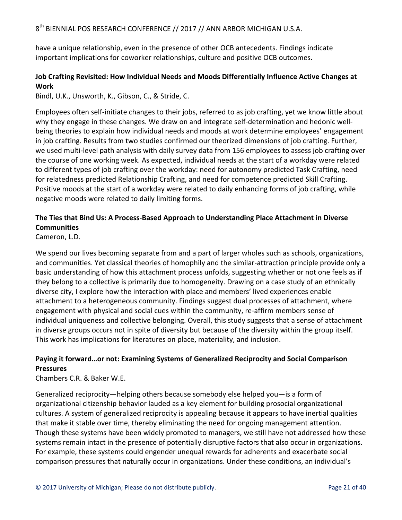have a unique relationship, even in the presence of other OCB antecedents. Findings indicate important implications for coworker relationships, culture and positive OCB outcomes.

#### **Job Crafting Revisited: How Individual Needs and Moods Differentially Influence Active Changes at Work**

Bindl, U.K., Unsworth, K., Gibson, C., & Stride, C.

Employees often self-initiate changes to their jobs, referred to as job crafting, yet we know little about why they engage in these changes. We draw on and integrate self-determination and hedonic wellbeing theories to explain how individual needs and moods at work determine employees' engagement in job crafting. Results from two studies confirmed our theorized dimensions of job crafting. Further, we used multi-level path analysis with daily survey data from 156 employees to assess job crafting over the course of one working week. As expected, individual needs at the start of a workday were related to different types of job crafting over the workday: need for autonomy predicted Task Crafting, need for relatedness predicted Relationship Crafting, and need for competence predicted Skill Crafting. Positive moods at the start of a workday were related to daily enhancing forms of job crafting, while negative moods were related to daily limiting forms.

#### The Ties that Bind Us: A Process-Based Approach to Understanding Place Attachment in Diverse **Communities**

Cameron, L.D.

We spend our lives becoming separate from and a part of larger wholes such as schools, organizations, and communities. Yet classical theories of homophily and the similar-attraction principle provide only a basic understanding of how this attachment process unfolds, suggesting whether or not one feels as if they belong to a collective is primarily due to homogeneity. Drawing on a case study of an ethnically diverse city, I explore how the interaction with place and members' lived experiences enable attachment to a heterogeneous community. Findings suggest dual processes of attachment, where engagement with physical and social cues within the community, re-affirm members sense of individual uniqueness and collective belonging. Overall, this study suggests that a sense of attachment in diverse groups occurs not in spite of diversity but because of the diversity within the group itself. This work has implications for literatures on place, materiality, and inclusion.

#### Paying it forward...or not: Examining Systems of Generalized Reciprocity and Social Comparison **Pressures**

Chambers C.R. & Baker W.E.

Generalized reciprocity—helping others because somebody else helped you—is a form of organizational citizenship behavior lauded as a key element for building prosocial organizational cultures. A system of generalized reciprocity is appealing because it appears to have inertial qualities that make it stable over time, thereby eliminating the need for ongoing management attention. Though these systems have been widely promoted to managers, we still have not addressed how these systems remain intact in the presence of potentially disruptive factors that also occur in organizations. For example, these systems could engender unequal rewards for adherents and exacerbate social comparison pressures that naturally occur in organizations. Under these conditions, an individual's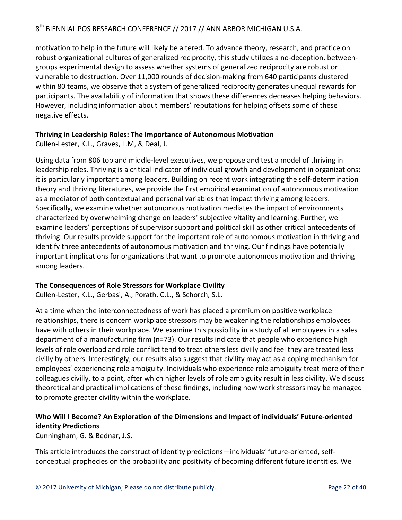motivation to help in the future will likely be altered. To advance theory, research, and practice on robust organizational cultures of generalized reciprocity, this study utilizes a no-deception, betweengroups experimental design to assess whether systems of generalized reciprocity are robust or vulnerable to destruction. Over 11,000 rounds of decision-making from 640 participants clustered within 80 teams, we observe that a system of generalized reciprocity generates unequal rewards for participants. The availability of information that shows these differences decreases helping behaviors. However, including information about members' reputations for helping offsets some of these negative effects.

#### **Thriving in Leadership Roles: The Importance of Autonomous Motivation**

Cullen-Lester, K.L., Graves, L.M, & Deal, J.

Using data from 806 top and middle-level executives, we propose and test a model of thriving in leadership roles. Thriving is a critical indicator of individual growth and development in organizations; it is particularly important among leaders. Building on recent work integrating the self-determination theory and thriving literatures, we provide the first empirical examination of autonomous motivation as a mediator of both contextual and personal variables that impact thriving among leaders. Specifically, we examine whether autonomous motivation mediates the impact of environments characterized by overwhelming change on leaders' subjective vitality and learning. Further, we examine leaders' perceptions of supervisor support and political skill as other critical antecedents of thriving. Our results provide support for the important role of autonomous motivation in thriving and identify three antecedents of autonomous motivation and thriving. Our findings have potentially important implications for organizations that want to promote autonomous motivation and thriving among leaders.

#### The Consequences of Role Stressors for Workplace Civility

Cullen-Lester, K.L., Gerbasi, A., Porath, C.L., & Schorch, S.L.

At a time when the interconnectedness of work has placed a premium on positive workplace relationships, there is concern workplace stressors may be weakening the relationships employees have with others in their workplace. We examine this possibility in a study of all employees in a sales department of a manufacturing firm  $(n=73)$ . Our results indicate that people who experience high levels of role overload and role conflict tend to treat others less civilly and feel they are treated less civilly by others. Interestingly, our results also suggest that civility may act as a coping mechanism for employees' experiencing role ambiguity. Individuals who experience role ambiguity treat more of their colleagues civilly, to a point, after which higher levels of role ambiguity result in less civility. We discuss theoretical and practical implications of these findings, including how work stressors may be managed to promote greater civility within the workplace.

#### Who Will I Become? An Exploration of the Dimensions and Impact of individuals' Future-oriented **identity Predictions**

Cunningham, G. & Bednar, J.S.

This article introduces the construct of identity predictions—individuals' future-oriented, selfconceptual prophecies on the probability and positivity of becoming different future identities. We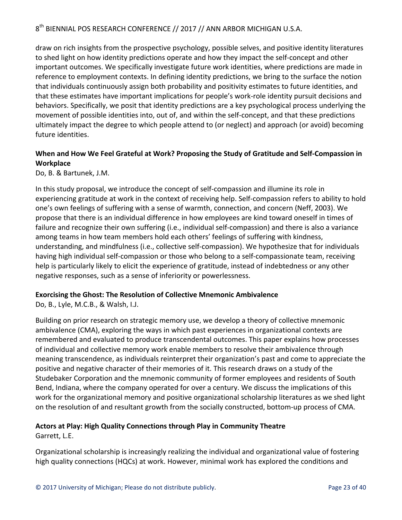draw on rich insights from the prospective psychology, possible selves, and positive identity literatures to shed light on how identity predictions operate and how they impact the self-concept and other important outcomes. We specifically investigate future work identities, where predictions are made in reference to employment contexts. In defining identity predictions, we bring to the surface the notion that individuals continuously assign both probability and positivity estimates to future identities, and that these estimates have important implications for people's work-role identity pursuit decisions and behaviors. Specifically, we posit that identity predictions are a key psychological process underlying the movement of possible identities into, out of, and within the self-concept, and that these predictions ultimately impact the degree to which people attend to (or neglect) and approach (or avoid) becoming future identities.

#### When and How We Feel Grateful at Work? Proposing the Study of Gratitude and Self-Compassion in **Workplace**

Do, B. & Bartunek, J.M.

In this study proposal, we introduce the concept of self-compassion and illumine its role in experiencing gratitude at work in the context of receiving help. Self-compassion refers to ability to hold one's own feelings of suffering with a sense of warmth, connection, and concern (Neff, 2003). We propose that there is an individual difference in how employees are kind toward oneself in times of failure and recognize their own suffering (i.e., individual self-compassion) and there is also a variance among teams in how team members hold each others' feelings of suffering with kindness, understanding, and mindfulness (i.e., collective self-compassion). We hypothesize that for individuals having high individual self-compassion or those who belong to a self-compassionate team, receiving help is particularly likely to elicit the experience of gratitude, instead of indebtedness or any other negative responses, such as a sense of inferiority or powerlessness.

#### **Exorcising the Ghost: The Resolution of Collective Mnemonic Ambivalence**

Do, B., Lyle, M.C.B., & Walsh, I.J.

Building on prior research on strategic memory use, we develop a theory of collective mnemonic ambivalence (CMA), exploring the ways in which past experiences in organizational contexts are remembered and evaluated to produce transcendental outcomes. This paper explains how processes of individual and collective memory work enable members to resolve their ambivalence through meaning transcendence, as individuals reinterpret their organization's past and come to appreciate the positive and negative character of their memories of it. This research draws on a study of the Studebaker Corporation and the mnemonic community of former employees and residents of South Bend, Indiana, where the company operated for over a century. We discuss the implications of this work for the organizational memory and positive organizational scholarship literatures as we shed light on the resolution of and resultant growth from the socially constructed, bottom-up process of CMA.

#### **Actors at Play: High Quality Connections through Play in Community Theatre** Garrett, L.E.

Organizational scholarship is increasingly realizing the individual and organizational value of fostering high quality connections (HQCs) at work. However, minimal work has explored the conditions and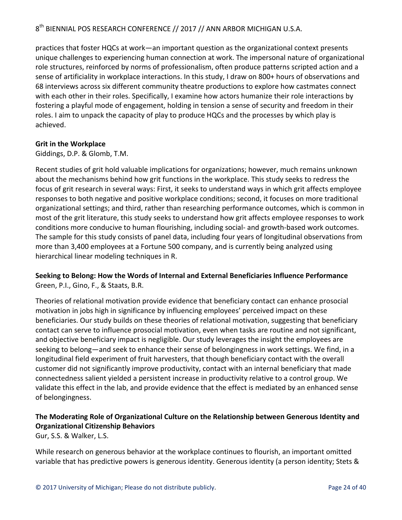practices that foster HQCs at work—an important question as the organizational context presents unique challenges to experiencing human connection at work. The impersonal nature of organizational role structures, reinforced by norms of professionalism, often produce patterns scripted action and a sense of artificiality in workplace interactions. In this study, I draw on 800+ hours of observations and 68 interviews across six different community theatre productions to explore how castmates connect with each other in their roles. Specifically, I examine how actors humanize their role interactions by fostering a playful mode of engagement, holding in tension a sense of security and freedom in their roles. I aim to unpack the capacity of play to produce HQCs and the processes by which play is achieved.

#### **Grit in the Workplace**

Giddings, D.P. & Glomb, T.M.

Recent studies of grit hold valuable implications for organizations; however, much remains unknown about the mechanisms behind how grit functions in the workplace. This study seeks to redress the focus of grit research in several ways: First, it seeks to understand ways in which grit affects employee responses to both negative and positive workplace conditions; second, it focuses on more traditional organizational settings; and third, rather than researching performance outcomes, which is common in most of the grit literature, this study seeks to understand how grit affects employee responses to work conditions more conducive to human flourishing, including social- and growth-based work outcomes. The sample for this study consists of panel data, including four years of longitudinal observations from more than 3,400 employees at a Fortune 500 company, and is currently being analyzed using hierarchical linear modeling techniques in R.

#### **Seeking to Belong: How the Words of Internal and External Beneficiaries Influence Performance** Green, P.I., Gino, F., & Staats, B.R.

Theories of relational motivation provide evidence that beneficiary contact can enhance prosocial motivation in jobs high in significance by influencing employees' perceived impact on these beneficiaries. Our study builds on these theories of relational motivation, suggesting that beneficiary contact can serve to influence prosocial motivation, even when tasks are routine and not significant, and objective beneficiary impact is negligible. Our study leverages the insight the employees are seeking to belong—and seek to enhance their sense of belongingness in work settings. We find, in a longitudinal field experiment of fruit harvesters, that though beneficiary contact with the overall customer did not significantly improve productivity, contact with an internal beneficiary that made connectedness salient yielded a persistent increase in productivity relative to a control group. We validate this effect in the lab, and provide evidence that the effect is mediated by an enhanced sense of belongingness.

#### The Moderating Role of Organizational Culture on the Relationship between Generous Identity and **Organizational Citizenship Behaviors**

Gur, S.S. & Walker, L.S.

While research on generous behavior at the workplace continues to flourish, an important omitted variable that has predictive powers is generous identity. Generous identity (a person identity; Stets &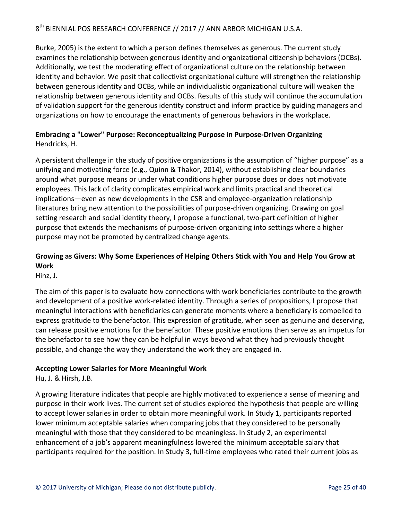Burke, 2005) is the extent to which a person defines themselves as generous. The current study examines the relationship between generous identity and organizational citizenship behaviors (OCBs). Additionally, we test the moderating effect of organizational culture on the relationship between identity and behavior. We posit that collectivist organizational culture will strengthen the relationship between generous identity and OCBs, while an individualistic organizational culture will weaken the relationship between generous identity and OCBs. Results of this study will continue the accumulation of validation support for the generous identity construct and inform practice by guiding managers and organizations on how to encourage the enactments of generous behaviors in the workplace.

#### **Embracing a "Lower" Purpose: Reconceptualizing Purpose in Purpose-Driven Organizing** Hendricks, H.

A persistent challenge in the study of positive organizations is the assumption of "higher purpose" as a unifying and motivating force (e.g., Quinn & Thakor, 2014), without establishing clear boundaries around what purpose means or under what conditions higher purpose does or does not motivate employees. This lack of clarity complicates empirical work and limits practical and theoretical implications—even as new developments in the CSR and employee-organization relationship literatures bring new attention to the possibilities of purpose-driven organizing. Drawing on goal setting research and social identity theory, I propose a functional, two-part definition of higher purpose that extends the mechanisms of purpose-driven organizing into settings where a higher purpose may not be promoted by centralized change agents.

#### Growing as Givers: Why Some Experiences of Helping Others Stick with You and Help You Grow at **Work**

Hinz, J.

The aim of this paper is to evaluate how connections with work beneficiaries contribute to the growth and development of a positive work-related identity. Through a series of propositions, I propose that meaningful interactions with beneficiaries can generate moments where a beneficiary is compelled to express gratitude to the benefactor. This expression of gratitude, when seen as genuine and deserving, can release positive emotions for the benefactor. These positive emotions then serve as an impetus for the benefactor to see how they can be helpful in ways beyond what they had previously thought possible, and change the way they understand the work they are engaged in.

#### **Accepting Lower Salaries for More Meaningful Work**

Hu, J. & Hirsh, J.B.

A growing literature indicates that people are highly motivated to experience a sense of meaning and purpose in their work lives. The current set of studies explored the hypothesis that people are willing to accept lower salaries in order to obtain more meaningful work. In Study 1, participants reported lower minimum acceptable salaries when comparing jobs that they considered to be personally meaningful with those that they considered to be meaningless. In Study 2, an experimental enhancement of a job's apparent meaningfulness lowered the minimum acceptable salary that participants required for the position. In Study 3, full-time employees who rated their current jobs as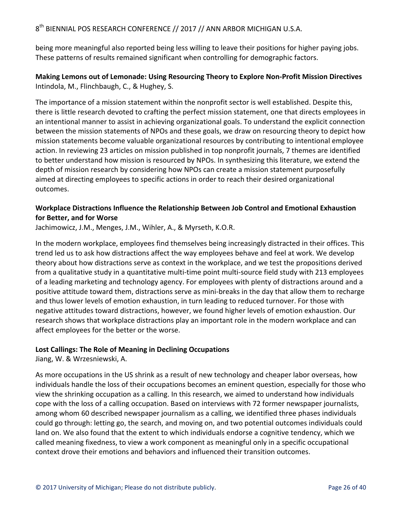being more meaningful also reported being less willing to leave their positions for higher paying jobs. These patterns of results remained significant when controlling for demographic factors.

#### **Making Lemons out of Lemonade: Using Resourcing Theory to Explore Non-Profit Mission Directives** Intindola, M., Flinchbaugh, C., & Hughey, S.

The importance of a mission statement within the nonprofit sector is well established. Despite this, there is little research devoted to crafting the perfect mission statement, one that directs employees in an intentional manner to assist in achieving organizational goals. To understand the explicit connection between the mission statements of NPOs and these goals, we draw on resourcing theory to depict how mission statements become valuable organizational resources by contributing to intentional employee action. In reviewing 23 articles on mission published in top nonprofit journals, 7 themes are identified to better understand how mission is resourced by NPOs. In synthesizing this literature, we extend the depth of mission research by considering how NPOs can create a mission statement purposefully aimed at directing employees to specific actions in order to reach their desired organizational outcomes.

#### Workplace Distractions Influence the Relationship Between Job Control and Emotional Exhaustion **for Better, and for Worse**

Jachimowicz, J.M., Menges, J.M., Wihler, A., & Myrseth, K.O.R.

In the modern workplace, employees find themselves being increasingly distracted in their offices. This trend led us to ask how distractions affect the way employees behave and feel at work. We develop theory about how distractions serve as context in the workplace, and we test the propositions derived from a qualitative study in a quantitative multi-time point multi-source field study with 213 employees of a leading marketing and technology agency. For employees with plenty of distractions around and a positive attitude toward them, distractions serve as mini-breaks in the day that allow them to recharge and thus lower levels of emotion exhaustion, in turn leading to reduced turnover. For those with negative attitudes toward distractions, however, we found higher levels of emotion exhaustion. Our research shows that workplace distractions play an important role in the modern workplace and can affect employees for the better or the worse.

#### Lost Callings: The Role of Meaning in Declining Occupations

Jiang, W. & Wrzesniewski, A.

As more occupations in the US shrink as a result of new technology and cheaper labor overseas, how individuals handle the loss of their occupations becomes an eminent question, especially for those who view the shrinking occupation as a calling. In this research, we aimed to understand how individuals cope with the loss of a calling occupation. Based on interviews with 72 former newspaper journalists, among whom 60 described newspaper journalism as a calling, we identified three phases individuals could go through: letting go, the search, and moving on, and two potential outcomes individuals could land on. We also found that the extent to which individuals endorse a cognitive tendency, which we called meaning fixedness, to view a work component as meaningful only in a specific occupational context drove their emotions and behaviors and influenced their transition outcomes.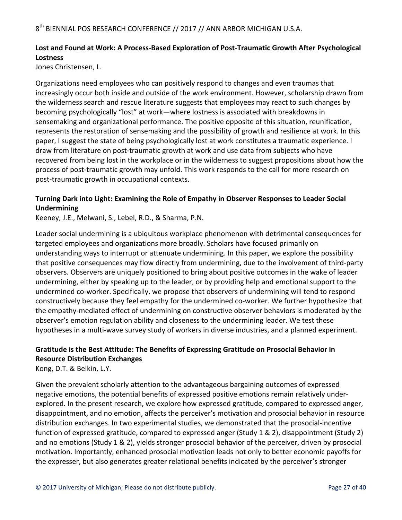#### Lost and Found at Work: A Process-Based Exploration of Post-Traumatic Growth After Psychological **Lostness**

Jones Christensen, L.

Organizations need employees who can positively respond to changes and even traumas that increasingly occur both inside and outside of the work environment. However, scholarship drawn from the wilderness search and rescue literature suggests that employees may react to such changes by becoming psychologically "lost" at work—where lostness is associated with breakdowns in sensemaking and organizational performance. The positive opposite of this situation, reunification, represents the restoration of sensemaking and the possibility of growth and resilience at work. In this paper, I suggest the state of being psychologically lost at work constitutes a traumatic experience. I draw from literature on post-traumatic growth at work and use data from subjects who have recovered from being lost in the workplace or in the wilderness to suggest propositions about how the process of post-traumatic growth may unfold. This work responds to the call for more research on post-traumatic growth in occupational contexts.

#### Turning Dark into Light: Examining the Role of Empathy in Observer Responses to Leader Social **Undermining**

Keeney, J.E., Melwani, S., Lebel, R.D., & Sharma, P.N.

Leader social undermining is a ubiquitous workplace phenomenon with detrimental consequences for targeted employees and organizations more broadly. Scholars have focused primarily on understanding ways to interrupt or attenuate undermining. In this paper, we explore the possibility that positive consequences may flow directly from undermining, due to the involvement of third-party observers. Observers are uniquely positioned to bring about positive outcomes in the wake of leader undermining, either by speaking up to the leader, or by providing help and emotional support to the undermined co-worker. Specifically, we propose that observers of undermining will tend to respond constructively because they feel empathy for the undermined co-worker. We further hypothesize that the empathy-mediated effect of undermining on constructive observer behaviors is moderated by the observer's emotion regulation ability and closeness to the undermining leader. We test these hypotheses in a multi-wave survey study of workers in diverse industries, and a planned experiment.

#### Gratitude is the Best Attitude: The Benefits of Expressing Gratitude on Prosocial Behavior in **Resource Distribution Exchanges**

Kong, D.T. & Belkin, L.Y.

Given the prevalent scholarly attention to the advantageous bargaining outcomes of expressed negative emotions, the potential benefits of expressed positive emotions remain relatively underexplored. In the present research, we explore how expressed gratitude, compared to expressed anger, disappointment, and no emotion, affects the perceiver's motivation and prosocial behavior in resource distribution exchanges. In two experimental studies, we demonstrated that the prosocial-incentive function of expressed gratitude, compared to expressed anger (Study 1 & 2), disappointment (Study 2) and no emotions (Study 1 & 2), yields stronger prosocial behavior of the perceiver, driven by prosocial motivation. Importantly, enhanced prosocial motivation leads not only to better economic payoffs for the expresser, but also generates greater relational benefits indicated by the perceiver's stronger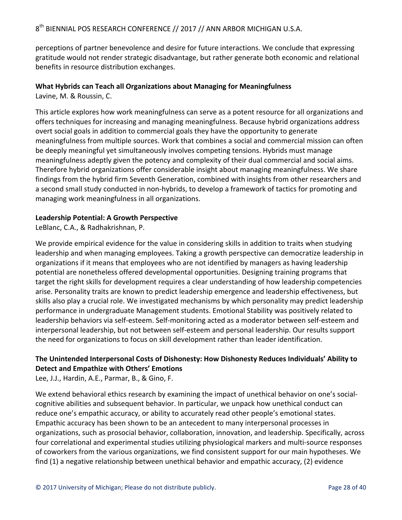perceptions of partner benevolence and desire for future interactions. We conclude that expressing gratitude would not render strategic disadvantage, but rather generate both economic and relational benefits in resource distribution exchanges.

#### **What Hybrids can Teach all Organizations about Managing for Meaningfulness**

Lavine, M. & Roussin, C.

This article explores how work meaningfulness can serve as a potent resource for all organizations and offers techniques for increasing and managing meaningfulness. Because hybrid organizations address overt social goals in addition to commercial goals they have the opportunity to generate meaningfulness from multiple sources. Work that combines a social and commercial mission can often be deeply meaningful yet simultaneously involves competing tensions. Hybrids must manage meaningfulness adeptly given the potency and complexity of their dual commercial and social aims. Therefore hybrid organizations offer considerable insight about managing meaningfulness. We share findings from the hybrid firm Seventh Generation, combined with insights from other researchers and a second small study conducted in non-hybrids, to develop a framework of tactics for promoting and managing work meaningfulness in all organizations.

#### Leadership Potential: A Growth Perspective

LeBlanc, C.A., & Radhakrishnan, P.

We provide empirical evidence for the value in considering skills in addition to traits when studying leadership and when managing employees. Taking a growth perspective can democratize leadership in organizations if it means that employees who are not identified by managers as having leadership potential are nonetheless offered developmental opportunities. Designing training programs that target the right skills for development requires a clear understanding of how leadership competencies arise. Personality traits are known to predict leadership emergence and leadership effectiveness, but skills also play a crucial role. We investigated mechanisms by which personality may predict leadership performance in undergraduate Management students. Emotional Stability was positively related to leadership behaviors via self-esteem. Self-monitoring acted as a moderator between self-esteem and interpersonal leadership, but not between self-esteem and personal leadership. Our results support the need for organizations to focus on skill development rather than leader identification.

#### The Unintended Interpersonal Costs of Dishonesty: How Dishonesty Reduces Individuals' Ability to **Detect and Empathize with Others' Emotions**

Lee, J.J., Hardin, A.E., Parmar, B., & Gino, F.

We extend behavioral ethics research by examining the impact of unethical behavior on one's socialcognitive abilities and subsequent behavior. In particular, we unpack how unethical conduct can reduce one's empathic accuracy, or ability to accurately read other people's emotional states. Empathic accuracy has been shown to be an antecedent to many interpersonal processes in organizations, such as prosocial behavior, collaboration, innovation, and leadership. Specifically, across four correlational and experimental studies utilizing physiological markers and multi-source responses of coworkers from the various organizations, we find consistent support for our main hypotheses. We find  $(1)$  a negative relationship between unethical behavior and empathic accuracy,  $(2)$  evidence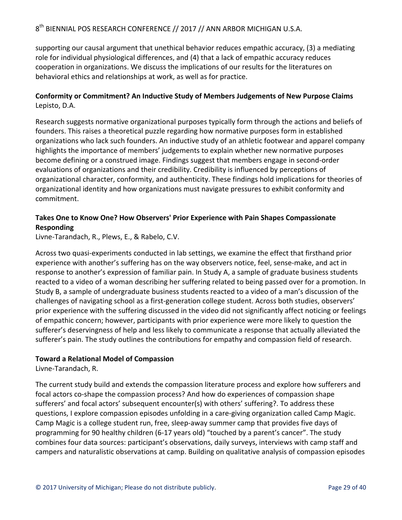supporting our causal argument that unethical behavior reduces empathic accuracy, (3) a mediating role for individual physiological differences, and (4) that a lack of empathic accuracy reduces cooperation in organizations. We discuss the implications of our results for the literatures on behavioral ethics and relationships at work, as well as for practice.

#### **Conformity or Commitment? An Inductive Study of Members Judgements of New Purpose Claims** Lepisto, D.A.

Research suggests normative organizational purposes typically form through the actions and beliefs of founders. This raises a theoretical puzzle regarding how normative purposes form in established organizations who lack such founders. An inductive study of an athletic footwear and apparel company highlights the importance of members' judgements to explain whether new normative purposes become defining or a construed image. Findings suggest that members engage in second-order evaluations of organizations and their credibility. Credibility is influenced by perceptions of organizational character, conformity, and authenticity. These findings hold implications for theories of organizational identity and how organizations must navigate pressures to exhibit conformity and commitment.

#### Takes One to Know One? How Observers' Prior Experience with Pain Shapes Compassionate **Responding**

Livne-Tarandach, R., Plews, E., & Rabelo, C.V.

Across two quasi-experiments conducted in lab settings, we examine the effect that firsthand prior experience with another's suffering has on the way observers notice, feel, sense-make, and act in response to another's expression of familiar pain. In Study A, a sample of graduate business students reacted to a video of a woman describing her suffering related to being passed over for a promotion. In Study B, a sample of undergraduate business students reacted to a video of a man's discussion of the challenges of navigating school as a first-generation college student. Across both studies, observers' prior experience with the suffering discussed in the video did not significantly affect noticing or feelings of empathic concern; however, participants with prior experience were more likely to question the sufferer's deservingness of help and less likely to communicate a response that actually alleviated the sufferer's pain. The study outlines the contributions for empathy and compassion field of research.

#### **Toward a Relational Model of Compassion**

Livne-Tarandach, R.

The current study build and extends the compassion literature process and explore how sufferers and focal actors co-shape the compassion process? And how do experiences of compassion shape sufferers' and focal actors' subsequent encounter(s) with others' suffering?. To address these questions, I explore compassion episodes unfolding in a care-giving organization called Camp Magic. Camp Magic is a college student run, free, sleep-away summer camp that provides five days of programming for 90 healthy children (6-17 years old) "touched by a parent's cancer". The study combines four data sources: participant's observations, daily surveys, interviews with camp staff and campers and naturalistic observations at camp. Building on qualitative analysis of compassion episodes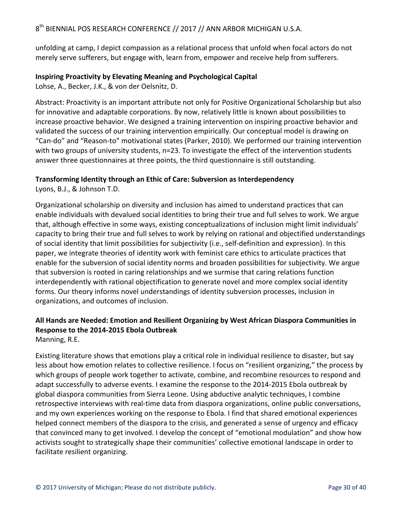unfolding at camp, I depict compassion as a relational process that unfold when focal actors do not merely serve sufferers, but engage with, learn from, empower and receive help from sufferers.

#### **Inspiring Proactivity by Elevating Meaning and Psychological Capital**

Lohse, A., Becker, J.K., & von der Oelsnitz, D.

Abstract: Proactivity is an important attribute not only for Positive Organizational Scholarship but also for innovative and adaptable corporations. By now, relatively little is known about possibilities to increase proactive behavior. We designed a training intervention on inspiring proactive behavior and validated the success of our training intervention empirically. Our conceptual model is drawing on "Can-do" and "Reason-to" motivational states (Parker, 2010). We performed our training intervention with two groups of university students,  $n=23$ . To investigate the effect of the intervention students answer three questionnaires at three points, the third questionnaire is still outstanding.

#### **Transforming Identity through an Ethic of Care: Subversion as Interdependency**

Lyons, B.J., & Johnson T.D.

Organizational scholarship on diversity and inclusion has aimed to understand practices that can enable individuals with devalued social identities to bring their true and full selves to work. We argue that, although effective in some ways, existing conceptualizations of inclusion might limit individuals' capacity to bring their true and full selves to work by relying on rational and objectified understandings of social identity that limit possibilities for subjectivity (i.e., self-definition and expression). In this paper, we integrate theories of identity work with feminist care ethics to articulate practices that enable for the subversion of social identity norms and broaden possibilities for subjectivity. We argue that subversion is rooted in caring relationships and we surmise that caring relations function interdependently with rational objectification to generate novel and more complex social identity forms. Our theory informs novel understandings of identity subversion processes, inclusion in organizations, and outcomes of inclusion.

#### All Hands are Needed: Emotion and Resilient Organizing by West African Diaspora Communities in **Response to the 2014-2015 Ebola Outbreak**

Manning, R.E.

Existing literature shows that emotions play a critical role in individual resilience to disaster, but say less about how emotion relates to collective resilience. I focus on "resilient organizing," the process by which groups of people work together to activate, combine, and recombine resources to respond and adapt successfully to adverse events. I examine the response to the 2014-2015 Ebola outbreak by global diaspora communities from Sierra Leone. Using abductive analytic techniques, I combine retrospective interviews with real-time data from diaspora organizations, online public conversations, and my own experiences working on the response to Ebola. I find that shared emotional experiences helped connect members of the diaspora to the crisis, and generated a sense of urgency and efficacy that convinced many to get involved. I develop the concept of "emotional modulation" and show how activists sought to strategically shape their communities' collective emotional landscape in order to facilitate resilient organizing.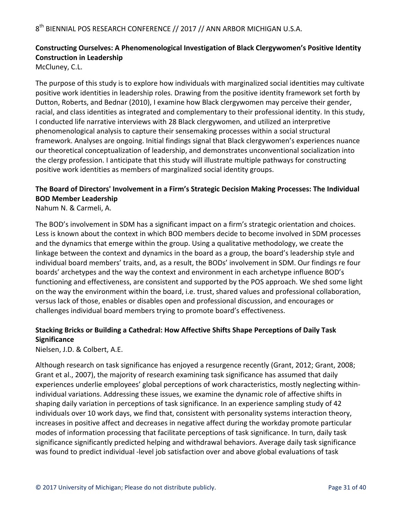#### Constructing Ourselves: A Phenomenological Investigation of Black Clergywomen's Positive Identity **Construction in Leadership**

McCluney, C.L.

The purpose of this study is to explore how individuals with marginalized social identities may cultivate positive work identities in leadership roles. Drawing from the positive identity framework set forth by Dutton, Roberts, and Bednar (2010), I examine how Black clergywomen may perceive their gender, racial, and class identities as integrated and complementary to their professional identity. In this study, I conducted life narrative interviews with 28 Black clergywomen, and utilized an interpretive phenomenological analysis to capture their sensemaking processes within a social structural framework. Analyses are ongoing. Initial findings signal that Black clergywomen's experiences nuance our theoretical conceptualization of leadership, and demonstrates unconventional socialization into the clergy profession. I anticipate that this study will illustrate multiple pathways for constructing positive work identities as members of marginalized social identity groups.

#### The Board of Directors' Involvement in a Firm's Strategic Decision Making Processes: The Individual **BOD Member Leadership**

Nahum N. & Carmeli, A.

The BOD's involvement in SDM has a significant impact on a firm's strategic orientation and choices. Less is known about the context in which BOD members decide to become involved in SDM processes and the dynamics that emerge within the group. Using a qualitative methodology, we create the linkage between the context and dynamics in the board as a group, the board's leadership style and individual board members' traits, and, as a result, the BODs' involvement in SDM. Our findings re four boards' archetypes and the way the context and environment in each archetype influence BOD's functioning and effectiveness, are consistent and supported by the POS approach. We shed some light on the way the environment within the board, i.e. trust, shared values and professional collaboration, versus lack of those, enables or disables open and professional discussion, and encourages or challenges individual board members trying to promote board's effectiveness.

#### Stacking Bricks or Building a Cathedral: How Affective Shifts Shape Perceptions of Daily Task **Significance**

Nielsen, J.D. & Colbert, A.E.

Although research on task significance has enjoyed a resurgence recently (Grant, 2012; Grant, 2008; Grant et al., 2007), the majority of research examining task significance has assumed that daily experiences underlie employees' global perceptions of work characteristics, mostly neglecting withinindividual variations. Addressing these issues, we examine the dynamic role of affective shifts in shaping daily variation in perceptions of task significance. In an experience sampling study of 42 individuals over 10 work days, we find that, consistent with personality systems interaction theory, increases in positive affect and decreases in negative affect during the workday promote particular modes of information processing that facilitate perceptions of task significance. In turn, daily task significance significantly predicted helping and withdrawal behaviors. Average daily task significance was found to predict individual -level job satisfaction over and above global evaluations of task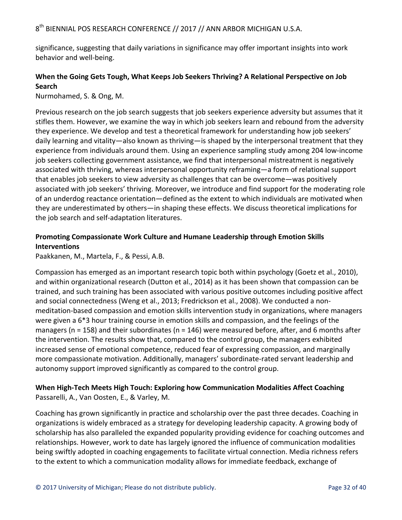significance, suggesting that daily variations in significance may offer important insights into work behavior and well-being.

#### When the Going Gets Tough, What Keeps Job Seekers Thriving? A Relational Perspective on Job **Search**

Nurmohamed, S. & Ong, M.

Previous research on the job search suggests that job seekers experience adversity but assumes that it stifles them. However, we examine the way in which job seekers learn and rebound from the adversity they experience. We develop and test a theoretical framework for understanding how job seekers' daily learning and vitality—also known as thriving—is shaped by the interpersonal treatment that they experience from individuals around them. Using an experience sampling study among 204 low-income job seekers collecting government assistance, we find that interpersonal mistreatment is negatively associated with thriving, whereas interpersonal opportunity reframing—a form of relational support that enables job seekers to view adversity as challenges that can be overcome—was positively associated with job seekers' thriving. Moreover, we introduce and find support for the moderating role of an underdog reactance orientation—defined as the extent to which individuals are motivated when they are underestimated by others—in shaping these effects. We discuss theoretical implications for the job search and self-adaptation literatures.

#### **Promoting Compassionate Work Culture and Humane Leadership through Emotion Skills Interventions**

Paakkanen, M., Martela, F., & Pessi, A.B.

Compassion has emerged as an important research topic both within psychology (Goetz et al., 2010), and within organizational research (Dutton et al., 2014) as it has been shown that compassion can be trained, and such training has been associated with various positive outcomes including positive affect and social connectedness (Weng et al., 2013; Fredrickson et al., 2008). We conducted a nonmeditation-based compassion and emotion skills intervention study in organizations, where managers were given a 6<sup>\*</sup>3 hour training course in emotion skills and compassion, and the feelings of the managers ( $n = 158$ ) and their subordinates ( $n = 146$ ) were measured before, after, and 6 months after the intervention. The results show that, compared to the control group, the managers exhibited increased sense of emotional competence, reduced fear of expressing compassion, and marginally more compassionate motivation. Additionally, managers' subordinate-rated servant leadership and autonomy support improved significantly as compared to the control group.

#### **When High-Tech Meets High Touch: Exploring how Communication Modalities Affect Coaching** Passarelli, A., Van Oosten, E., & Varley, M.

Coaching has grown significantly in practice and scholarship over the past three decades. Coaching in organizations is widely embraced as a strategy for developing leadership capacity. A growing body of scholarship has also paralleled the expanded popularity providing evidence for coaching outcomes and relationships. However, work to date has largely ignored the influence of communication modalities being swiftly adopted in coaching engagements to facilitate virtual connection. Media richness refers to the extent to which a communication modality allows for immediate feedback, exchange of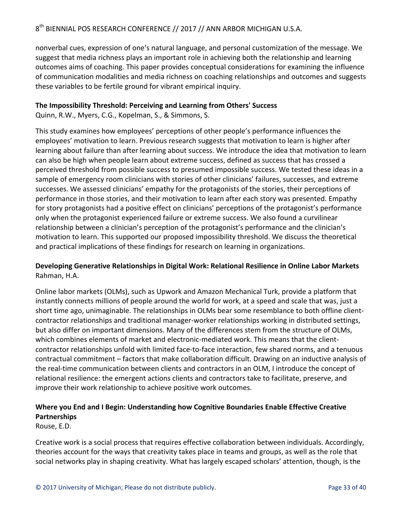nonverbal cues, expression of one's natural language, and personal customization of the message. We suggest that media richness plays an important role in achieving both the relationship and learning outcomes aims of coaching. This paper provides conceptual considerations for examining the influence of communication modalities and media richness on coaching relationships and outcomes and suggests these variables to be fertile ground for vibrant empirical inquiry.

#### **The Impossibility Threshold: Perceiving and Learning from Others' Success**

Quinn, R.W., Myers, C.G., Kopelman, S., & Simmons, S.

This study examines how employees' perceptions of other people's performance influences the employees' motivation to learn. Previous research suggests that motivation to learn is higher after learning about failure than after learning about success. We introduce the idea that motivation to learn can also be high when people learn about extreme success, defined as success that has crossed a perceived threshold from possible success to presumed impossible success. We tested these ideas in a sample of emergency room clinicians with stories of other clinicians' failures, successes, and extreme successes. We assessed clinicians' empathy for the protagonists of the stories, their perceptions of performance in those stories, and their motivation to learn after each story was presented. Empathy for story protagonists had a positive effect on clinicians' perceptions of the protagonist's performance only when the protagonist experienced failure or extreme success. We also found a curvilinear relationship between a clinician's perception of the protagonist's performance and the clinician's motivation to learn. This supported our proposed impossibility threshold. We discuss the theoretical and practical implications of these findings for research on learning in organizations.

#### Developing Generative Relationships in Digital Work: Relational Resilience in Online Labor Markets Rahman, H.A.

Online labor markets (OLMs), such as Upwork and Amazon Mechanical Turk, provide a platform that instantly connects millions of people around the world for work, at a speed and scale that was, just a short time ago, unimaginable. The relationships in OLMs bear some resemblance to both offline clientcontractor relationships and traditional manager-worker relationships working in distributed settings, but also differ on important dimensions. Many of the differences stem from the structure of OLMs, which combines elements of market and electronic-mediated work. This means that the clientcontractor relationships unfold with limited face-to-face interaction, few shared norms, and a tenuous contractual commitment – factors that make collaboration difficult. Drawing on an inductive analysis of the real-time communication between clients and contractors in an OLM, I introduce the concept of relational resilience: the emergent actions clients and contractors take to facilitate, preserve, and improve their work relationship to achieve positive work outcomes.

#### **Where you End and I Begin: Understanding how Cognitive Boundaries Enable Effective Creative Partnerships**

Rouse, E.D.

Creative work is a social process that requires effective collaboration between individuals. Accordingly, theories account for the ways that creativity takes place in teams and groups, as well as the role that social networks play in shaping creativity. What has largely escaped scholars' attention, though, is the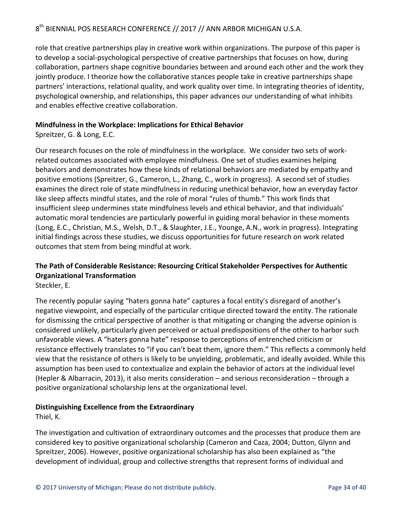role that creative partnerships play in creative work within organizations. The purpose of this paper is to develop a social-psychological perspective of creative partnerships that focuses on how, during collaboration, partners shape cognitive boundaries between and around each other and the work they jointly produce. I theorize how the collaborative stances people take in creative partnerships shape partners' interactions, relational quality, and work quality over time. In integrating theories of identity, psychological ownership, and relationships, this paper advances our understanding of what inhibits and enables effective creative collaboration.

#### **Mindfulness in the Workplace: Implications for Ethical Behavior**

Spreitzer, G. & Long, E.C.

Our research focuses on the role of mindfulness in the workplace. We consider two sets of workrelated outcomes associated with employee mindfulness. One set of studies examines helping behaviors and demonstrates how these kinds of relational behaviors are mediated by empathy and positive emotions (Spreitzer, G., Cameron, L., Zhang, C., work in progress). A second set of studies examines the direct role of state mindfulness in reducing unethical behavior, how an everyday factor like sleep affects mindful states, and the role of moral "rules of thumb." This work finds that insufficient sleep undermines state mindfulness levels and ethical behavior, and that individuals' automatic moral tendencies are particularly powerful in guiding moral behavior in these moments (Long, E.C., Christian, M.S., Welsh, D.T., & Slaughter, J.E., Younge, A.N., work in progress). Integrating initial findings across these studies, we discuss opportunities for future research on work related outcomes that stem from being mindful at work.

## The Path of Considerable Resistance: Resourcing Critical Stakeholder Perspectives for Authentic **Organizational Transformation**

Steckler, E.

The recently popular saying "haters gonna hate" captures a focal entity's disregard of another's negative viewpoint, and especially of the particular critique directed toward the entity. The rationale for dismissing the critical perspective of another is that mitigating or changing the adverse opinion is considered unlikely, particularly given perceived or actual predispositions of the other to harbor such unfavorable views. A "haters gonna hate" response to perceptions of entrenched criticism or resistance effectively translates to "if you can't beat them, ignore them." This reflects a commonly held view that the resistance of others is likely to be unyielding, problematic, and ideally avoided. While this assumption has been used to contextualize and explain the behavior of actors at the individual level (Hepler & Albarracin, 2013), it also merits consideration  $-$  and serious reconsideration  $-$  through a positive organizational scholarship lens at the organizational level.

#### **Distinguishing Excellence from the Extraordinary**

Thiel, K.

The investigation and cultivation of extraordinary outcomes and the processes that produce them are considered key to positive organizational scholarship (Cameron and Caza, 2004; Dutton, Glynn and Spreitzer, 2006). However, positive organizational scholarship has also been explained as "the development of individual, group and collective strengths that represent forms of individual and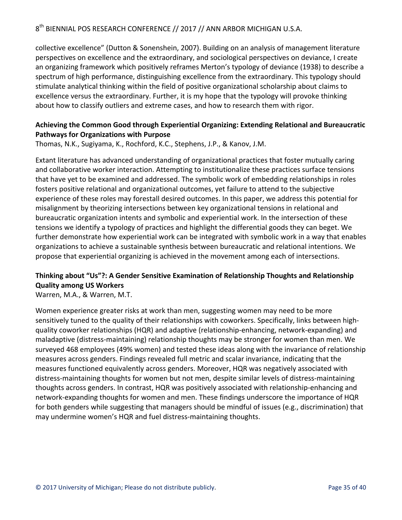collective excellence" (Dutton & Sonenshein, 2007). Building on an analysis of management literature perspectives on excellence and the extraordinary, and sociological perspectives on deviance, I create an organizing framework which positively reframes Merton's typology of deviance (1938) to describe a spectrum of high performance, distinguishing excellence from the extraordinary. This typology should stimulate analytical thinking within the field of positive organizational scholarship about claims to excellence versus the extraordinary. Further, it is my hope that the typology will provoke thinking about how to classify outliers and extreme cases, and how to research them with rigor.

#### Achieving the Common Good through Experiential Organizing: Extending Relational and Bureaucratic **Pathways for Organizations with Purpose**

Thomas, N.K., Sugiyama, K., Rochford, K.C., Stephens, J.P., & Kanov, J.M.

Extant literature has advanced understanding of organizational practices that foster mutually caring and collaborative worker interaction. Attempting to institutionalize these practices surface tensions that have yet to be examined and addressed. The symbolic work of embedding relationships in roles fosters positive relational and organizational outcomes, yet failure to attend to the subjective experience of these roles may forestall desired outcomes. In this paper, we address this potential for misalignment by theorizing intersections between key organizational tensions in relational and bureaucratic organization intents and symbolic and experiential work. In the intersection of these tensions we identify a typology of practices and highlight the differential goods they can beget. We further demonstrate how experiential work can be integrated with symbolic work in a way that enables organizations to achieve a sustainable synthesis between bureaucratic and relational intentions. We propose that experiential organizing is achieved in the movement among each of intersections.

#### **Thinking about "Us"?: A Gender Sensitive Examination of Relationship Thoughts and Relationship Quality among US Workers**

Warren, M.A., & Warren, M.T.

Women experience greater risks at work than men, suggesting women may need to be more sensitively tuned to the quality of their relationships with coworkers. Specifically, links between highquality coworker relationships (HQR) and adaptive (relationship-enhancing, network-expanding) and maladaptive (distress-maintaining) relationship thoughts may be stronger for women than men. We surveyed 468 employees (49% women) and tested these ideas along with the invariance of relationship measures across genders. Findings revealed full metric and scalar invariance, indicating that the measures functioned equivalently across genders. Moreover, HQR was negatively associated with distress-maintaining thoughts for women but not men, despite similar levels of distress-maintaining thoughts across genders. In contrast, HQR was positively associated with relationship-enhancing and network-expanding thoughts for women and men. These findings underscore the importance of HQR for both genders while suggesting that managers should be mindful of issues (e.g., discrimination) that may undermine women's HQR and fuel distress-maintaining thoughts.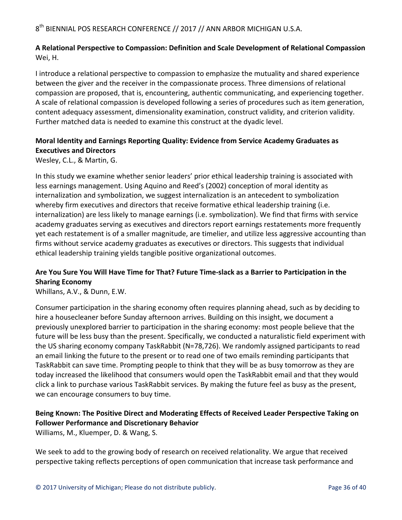#### **A Relational Perspective to Compassion: Definition and Scale Development of Relational Compassion** Wei, H.

I introduce a relational perspective to compassion to emphasize the mutuality and shared experience between the giver and the receiver in the compassionate process. Three dimensions of relational compassion are proposed, that is, encountering, authentic communicating, and experiencing together. A scale of relational compassion is developed following a series of procedures such as item generation, content adequacy assessment, dimensionality examination, construct validity, and criterion validity. Further matched data is needed to examine this construct at the dyadic level.

#### Moral Identity and Earnings Reporting Quality: Evidence from Service Academy Graduates as **Executives and Directors**

Wesley, C.L., & Martin, G.

In this study we examine whether senior leaders' prior ethical leadership training is associated with less earnings management. Using Aquino and Reed's (2002) conception of moral identity as internalization and symbolization, we suggest internalization is an antecedent to symbolization whereby firm executives and directors that receive formative ethical leadership training (i.e. internalization) are less likely to manage earnings (i.e. symbolization). We find that firms with service academy graduates serving as executives and directors report earnings restatements more frequently yet each restatement is of a smaller magnitude, are timelier, and utilize less aggressive accounting than firms without service academy graduates as executives or directors. This suggests that individual ethical leadership training yields tangible positive organizational outcomes.

#### Are You Sure You Will Have Time for That? Future Time-slack as a Barrier to Participation in the **Sharing Economy**

Whillans, A.V., & Dunn, E.W.

Consumer participation in the sharing economy often requires planning ahead, such as by deciding to hire a housecleaner before Sunday afternoon arrives. Building on this insight, we document a previously unexplored barrier to participation in the sharing economy: most people believe that the future will be less busy than the present. Specifically, we conducted a naturalistic field experiment with the US sharing economy company TaskRabbit (N=78,726). We randomly assigned participants to read an email linking the future to the present or to read one of two emails reminding participants that TaskRabbit can save time. Prompting people to think that they will be as busy tomorrow as they are today increased the likelihood that consumers would open the TaskRabbit email and that they would click a link to purchase various TaskRabbit services. By making the future feel as busy as the present, we can encourage consumers to buy time.

#### Being Known: The Positive Direct and Moderating Effects of Received Leader Perspective Taking on **Follower Performance and Discretionary Behavior**

Williams, M., Kluemper, D. & Wang, S.

We seek to add to the growing body of research on received relationality. We argue that received perspective taking reflects perceptions of open communication that increase task performance and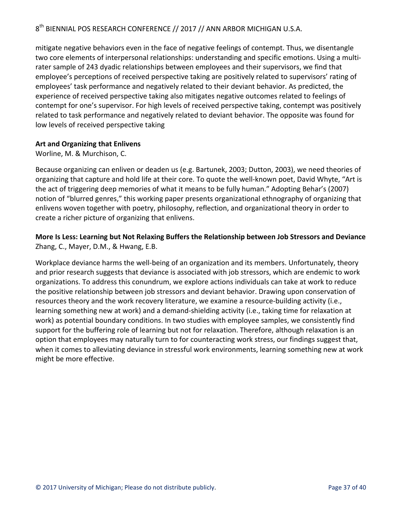mitigate negative behaviors even in the face of negative feelings of contempt. Thus, we disentangle two core elements of interpersonal relationships: understanding and specific emotions. Using a multirater sample of 243 dyadic relationships between employees and their supervisors, we find that employee's perceptions of received perspective taking are positively related to supervisors' rating of employees' task performance and negatively related to their deviant behavior. As predicted, the experience of received perspective taking also mitigates negative outcomes related to feelings of contempt for one's supervisor. For high levels of received perspective taking, contempt was positively related to task performance and negatively related to deviant behavior. The opposite was found for low levels of received perspective taking

#### **Art and Organizing that Enlivens**

Worline, M. & Murchison, C.

Because organizing can enliven or deaden us (e.g. Bartunek, 2003; Dutton, 2003), we need theories of organizing that capture and hold life at their core. To quote the well-known poet, David Whyte, "Art is the act of triggering deep memories of what it means to be fully human." Adopting Behar's (2007) notion of "blurred genres," this working paper presents organizational ethnography of organizing that enlivens woven together with poetry, philosophy, reflection, and organizational theory in order to create a richer picture of organizing that enlivens.

#### **More Is Less: Learning but Not Relaxing Buffers the Relationship between Job Stressors and Deviance** Zhang, C., Mayer, D.M., & Hwang, E.B.

Workplace deviance harms the well-being of an organization and its members. Unfortunately, theory and prior research suggests that deviance is associated with job stressors, which are endemic to work organizations. To address this conundrum, we explore actions individuals can take at work to reduce the positive relationship between job stressors and deviant behavior. Drawing upon conservation of resources theory and the work recovery literature, we examine a resource-building activity (i.e., learning something new at work) and a demand-shielding activity (i.e., taking time for relaxation at work) as potential boundary conditions. In two studies with employee samples, we consistently find support for the buffering role of learning but not for relaxation. Therefore, although relaxation is an option that employees may naturally turn to for counteracting work stress, our findings suggest that, when it comes to alleviating deviance in stressful work environments, learning something new at work might be more effective.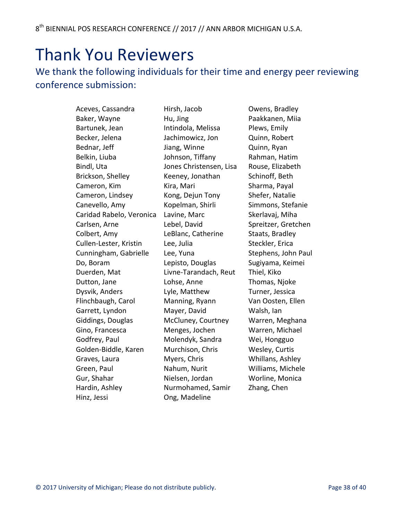# Thank You Reviewers

## We thank the following individuals for their time and energy peer reviewing conference submission:

Aceves, Cassandra Baker, Wayne Bartunek, Jean Becker, Jelena Bednar, Jeff Belkin, Liuba Bindl, Uta Brickson, Shelley Cameron, Kim Cameron, Lindsey Canevello, Amy Caridad Rabelo, Veronica Carlsen, Arne Colbert, Amy Cullen-Lester, Kristin Cunningham, Gabrielle Do, Boram Duerden, Mat Dutton, Jane Dysvik, Anders Flinchbaugh, Carol Garrett, Lyndon Giddings, Douglas Gino, Francesca Godfrey, Paul Golden-Biddle, Karen Graves, Laura Green, Paul Gur, Shahar Hardin, Ashley Hinz, Jessi

Hirsh, Jacob Hu, Jing Intindola, Melissa Jachimowicz, Jon Jiang, Winne Johnson, Tiffany Jones Christensen, Lisa Keeney, Jonathan Kira, Mari Kong, Dejun Tony Kopelman, Shirli Lavine, Marc Lebel, David LeBlanc, Catherine Lee, Julia Lee, Yuna Lepisto, Douglas Livne-Tarandach, Reut Lohse, Anne Lyle, Matthew Manning, Ryann Mayer, David McCluney, Courtney Menges, Jochen Molendyk, Sandra Murchison, Chris Myers, Chris Nahum, Nurit Nielsen, Jordan Nurmohamed, Samir Ong, Madeline

Owens, Bradley Paakkanen, Miia Plews, Emily Quinn, Robert Quinn, Ryan Rahman, Hatim Rouse, Elizabeth Schinoff, Beth Sharma, Payal Shefer, Natalie Simmons, Stefanie Skerlavaj, Miha Spreitzer, Gretchen Staats, Bradley Steckler, Erica Stephens, John Paul Sugiyama, Keimei Thiel, Kiko Thomas, Njoke Turner, Jessica Van Oosten, Ellen Walsh, lan Warren, Meghana Warren, Michael Wei, Hongguo Wesley, Curtis Whillans, Ashley Williams, Michele Worline, Monica Zhang, Chen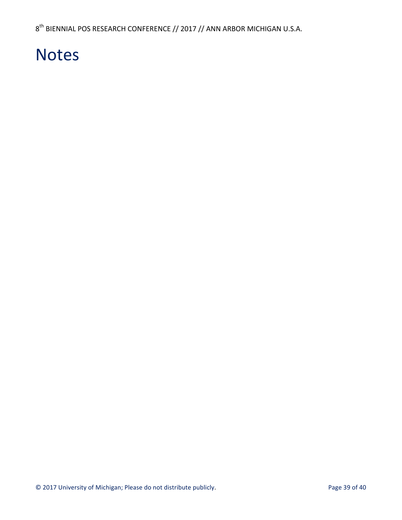# Notes